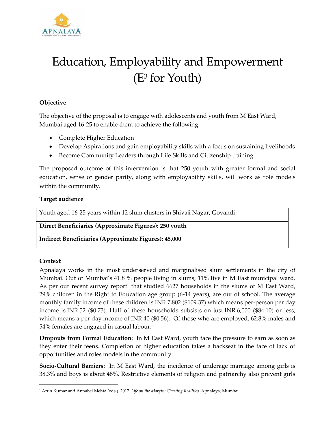

# Education, Employability and Empowerment (E<sup>3</sup> for Youth)

## **Objective**

The objective of the proposal is to engage with adolescents and youth from M East Ward, Mumbai aged 16-25 to enable them to achieve the following:

- Complete Higher Education
- Develop Aspirations and gain employability skills with a focus on sustaining livelihoods
- Become Community Leaders through Life Skills and Citizenship training

The proposed outcome of this intervention is that 250 youth with greater formal and social education, sense of gender parity, along with employability skills, will work as role models within the community.

#### **Target audience**

Youth aged 16-25 years within 12 slum clusters in Shivaji Nagar, Govandi

**Direct Beneficiaries (Approximate Figures): 250 youth**

**Indirect Beneficiaries (Approximate Figures): 45,000**

## **Context**

 $\overline{\phantom{a}}$ 

Apnalaya works in the most underserved and marginalised slum settlements in the city of Mumbai. Out of Mumbai's 41.8 % people living in slums, 11% live in M East municipal ward. As per our recent survey report<sup>1</sup> that studied 6627 households in the slums of M East Ward, 29% children in the Right to Education age group (6-14 years), are out of school. The average monthly family income of these children is INR 7,802 (\$109.37) which means per-person per day income is INR 52 (\$0.73). Half of these households subsists on just INR 6,000 (\$84.10) or less; which means a per day income of INR 40 (\$0.56). Of those who are employed, 62.8% males and 54% females are engaged in casual labour.

**Dropouts from Formal Education:** In M East Ward, youth face the pressure to earn as soon as they enter their teens. Completion of higher education takes a backseat in the face of lack of opportunities and roles models in the community.

**Socio-Cultural Barriers:** In M East Ward, the incidence of underage marriage among girls is 38.3% and boys is about 48%. Restrictive elements of religion and patriarchy also prevent girls

<sup>1</sup> Arun Kumar and Annabel Mehta (eds.). 2017. *Life on the Margin: Charting Realities*. Apnalaya, Mumbai.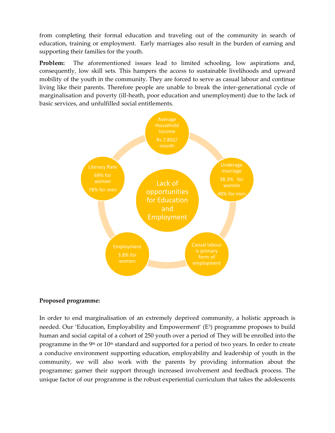from completing their formal education and traveling out of the community in search of education, training or employment. Early marriages also result in the burden of earning and supporting their families for the youth.

**Problem:** The aforementioned issues lead to limited schooling, low aspirations and, consequently, low skill sets. This hampers the access to sustainable livelihoods and upward mobility of the youth in the community. They are forced to serve as casual labour and continue living like their parents. Therefore people are unable to break the inter-generational cycle of marginalisation and poverty (ill-heath, poor education and unemployment) due to the lack of basic services, and unfulfilled social entitlements.



## **Proposed programme:**

In order to end marginalisation of an extremely deprived community, a holistic approach is needed. Our 'Education, Employability and Empowerment' (E<sup>3</sup>) programme proposes to build human and social capital of a cohort of 250 youth over a period of They will be enrolled into the programme in the 9<sup>th</sup> or 10<sup>th</sup> standard and supported for a period of two years. In order to create a conducive environment supporting education, employability and leadership of youth in the community, we will also work with the parents by providing information about the programme; garner their support through increased involvement and feedback process. The unique factor of our programme is the robust experiential curriculum that takes the adolescents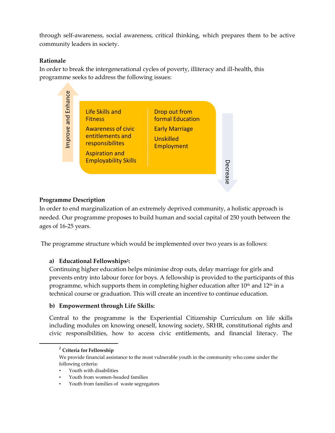through self-awareness, social awareness, critical thinking, which prepares them to be active community leaders in society.

## **Rationale**

In order to break the intergenerational cycles of poverty, illiteracy and ill-health, this programme seeks to address the following issues:



## **Programme Description**

In order to end marginalization of an extremely deprived community, a holistic approach is needed. Our programme proposes to build human and social capital of 250 youth between the ages of 16-25 years.

The programme structure which would be implemented over two years is as follows:

## **a) Educational Fellowships 2 :**

Continuing higher education helps minimise drop outs, delay marriage for girls and prevents entry into labour force for boys. A fellowship is provided to the participants of this programme, which supports them in completing higher education after  $10<sup>th</sup>$  and  $12<sup>th</sup>$  in a technical course or graduation. This will create an incentive to continue education.

## **b) Empowerment through Life Skills:**

Central to the programme is the Experiential Citizenship Curriculum on life skills including modules on knowing oneself, knowing society, SRHR, constitutional rights and civic responsibilities, how to access civic entitlements, and financial literacy. The

 $\overline{a}$ 

<sup>2</sup> **Criteria for Fellowship**

We provide financial assistance to the most vulnerable youth in the community who come under the following criteria:

Youth with disabilities

Youth from women-headed families

<sup>•</sup> Youth from families of waste segregators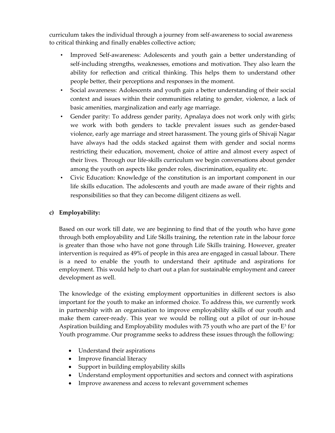curriculum takes the individual through a journey from self-awareness to social awareness to critical thinking and finally enables collective action;

- Improved Self-awareness: Adolescents and youth gain a better understanding of self-including strengths, weaknesses, emotions and motivation. They also learn the ability for reflection and critical thinking. This helps them to understand other people better, their perceptions and responses in the moment.
- Social awareness: Adolescents and youth gain a better understanding of their social context and issues within their communities relating to gender, violence, a lack of basic amenities, marginalization and early age marriage.
- Gender parity: To address gender parity, Apnalaya does not work only with girls; we work with both genders to tackle prevalent issues such as gender-based violence, early age marriage and street harassment. The young girls of Shivaji Nagar have always had the odds stacked against them with gender and social norms restricting their education, movement, choice of attire and almost every aspect of their lives. Through our life-skills curriculum we begin conversations about gender among the youth on aspects like gender roles, discrimination, equality etc.
- Civic Education: Knowledge of the constitution is an important component in our life skills education. The adolescents and youth are made aware of their rights and responsibilities so that they can become diligent citizens as well.

## **c) Employability:**

Based on our work till date, we are beginning to find that of the youth who have gone through both employability and Life Skills training, the retention rate in the labour force is greater than those who have not gone through Life Skills training. However, greater intervention is required as 49% of people in this area are engaged in casual labour. There is a need to enable the youth to understand their aptitude and aspirations for employment. This would help to chart out a plan for sustainable employment and career development as well.

The knowledge of the existing employment opportunities in different sectors is also important for the youth to make an informed choice. To address this, we currently work in partnership with an organisation to improve employability skills of our youth and make them career-ready. This year we would be rolling out a pilot of our in-house Aspiration building and Employability modules with 75 youth who are part of the  $E^3$  for Youth programme. Our programme seeks to address these issues through the following:

- Understand their aspirations
- Improve financial literacy
- Support in building employability skills
- Understand employment opportunities and sectors and connect with aspirations
- Improve awareness and access to relevant government schemes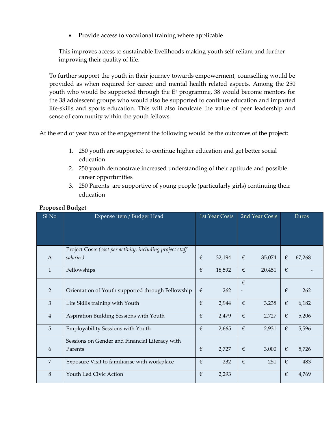• Provide access to vocational training where applicable

This improves access to sustainable livelihoods making youth self-reliant and further improving their quality of life.

To further support the youth in their journey towards empowerment, counselling would be provided as when required for career and mental health related aspects. Among the 250 youth who would be supported through the  $E<sup>3</sup>$  programme, 38 would become mentors for the 38 adolescent groups who would also be supported to continue education and imparted life-skills and sports education. This will also inculcate the value of peer leadership and sense of community within the youth fellows

At the end of year two of the engagement the following would be the outcomes of the project:

- 1. 250 youth are supported to continue higher education and get better social education
- 2. 250 youth demonstrate increased understanding of their aptitude and possible career opportunities
- 3. 250 Parents are supportive of young people (particularly girls) continuing their education

| Sl No          | Expense item / Budget Head                                | <b>1st Year Costs</b> |        | 2nd Year Costs |        | Euros      |        |
|----------------|-----------------------------------------------------------|-----------------------|--------|----------------|--------|------------|--------|
|                |                                                           |                       |        |                |        |            |        |
|                |                                                           |                       |        |                |        |            |        |
|                | Project Costs (cost per activity, including project staff |                       |        |                |        |            |        |
| $\mathbf{A}$   | salaries)                                                 | €                     | 32,194 | €              | 35,074 | €          | 67,268 |
| $\mathbf{1}$   | Fellowships                                               | €                     | 18,592 | €              | 20,451 | €          |        |
|                |                                                           |                       |        | €              |        |            |        |
| 2              | Orientation of Youth supported through Fellowship         | €                     | 262    |                |        | €          | 262    |
| $\mathfrak{Z}$ | Life Skills training with Youth                           | $\epsilon$            | 2,944  | $\epsilon$     | 3,238  | $\epsilon$ | 6,182  |
| $\overline{4}$ | Aspiration Building Sessions with Youth                   | €                     | 2,479  | €              | 2,727  | €          | 5,206  |
| 5              | Employability Sessions with Youth                         | €                     | 2,665  | €              | 2,931  | €          | 5,596  |
|                | Sessions on Gender and Financial Literacy with            |                       |        |                |        |            |        |
| 6              | Parents                                                   | €                     | 2,727  | €              | 3,000  | €          | 5,726  |
| $\overline{7}$ | Exposure Visit to familiarise with workplace              | €                     | 232    | €              | 251    | €          | 483    |
| 8              | Youth Led Civic Action                                    | €                     | 2,293  |                |        | €          | 4,769  |

#### **Proposed Budget**